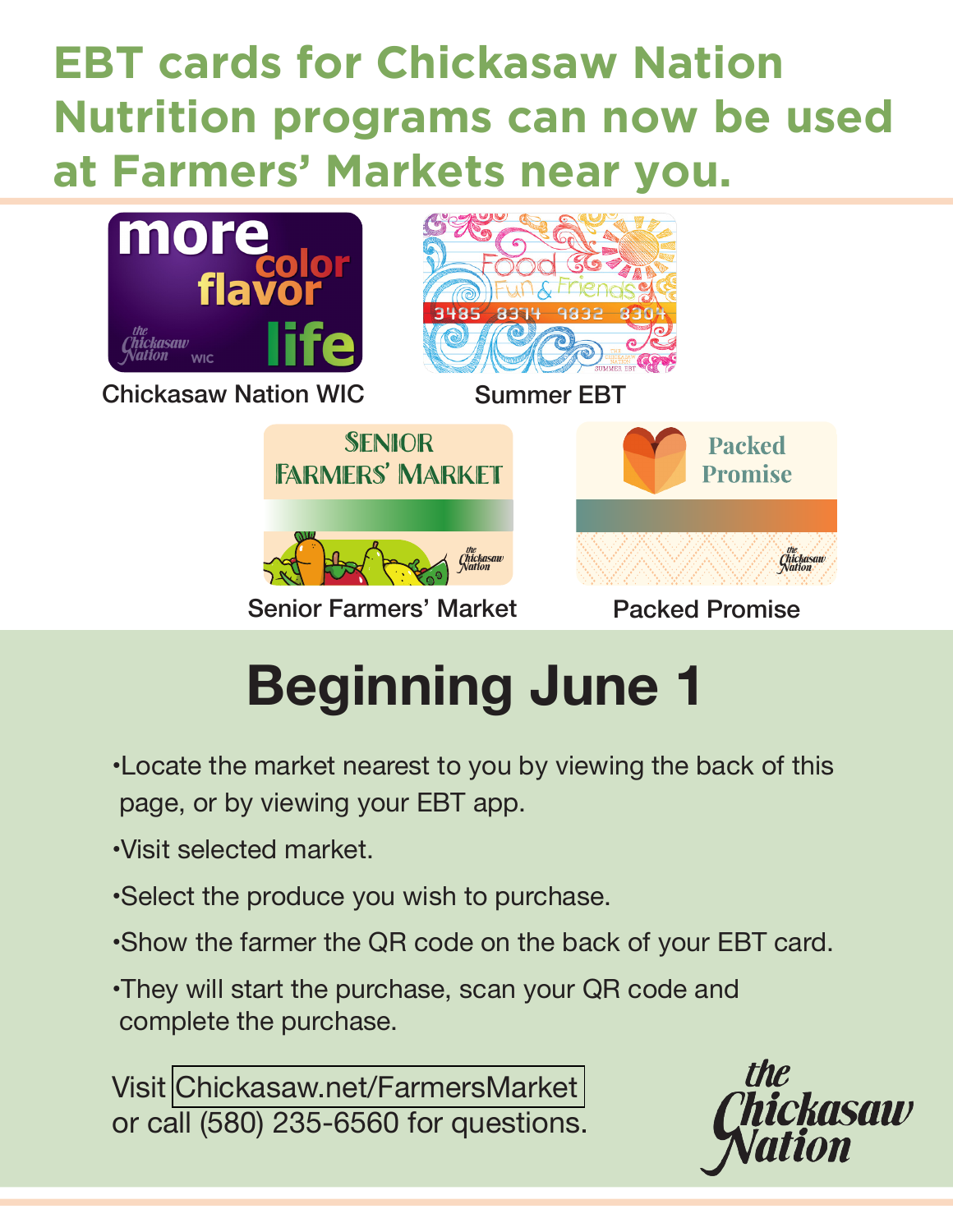## **EBT cards for Chickasaw Nation Nutrition programs can now be used at Farmers' Markets near you.**



# **Beginning June 1**

- •Locate the market nearest to you by viewing the back of this page, or by viewing your EBT app.
- •Visit selected market.
- •Select the produce you wish to purchase.
- •Show the farmer the QR code on the back of your EBT card.
- •They will start the purchase, scan your QR code and complete the purchase.

Visit [Chickasaw.net/FarmersMarket](https://www.chickasaw.net/farmersmarket)  or call (580) 235-6560 for questions.